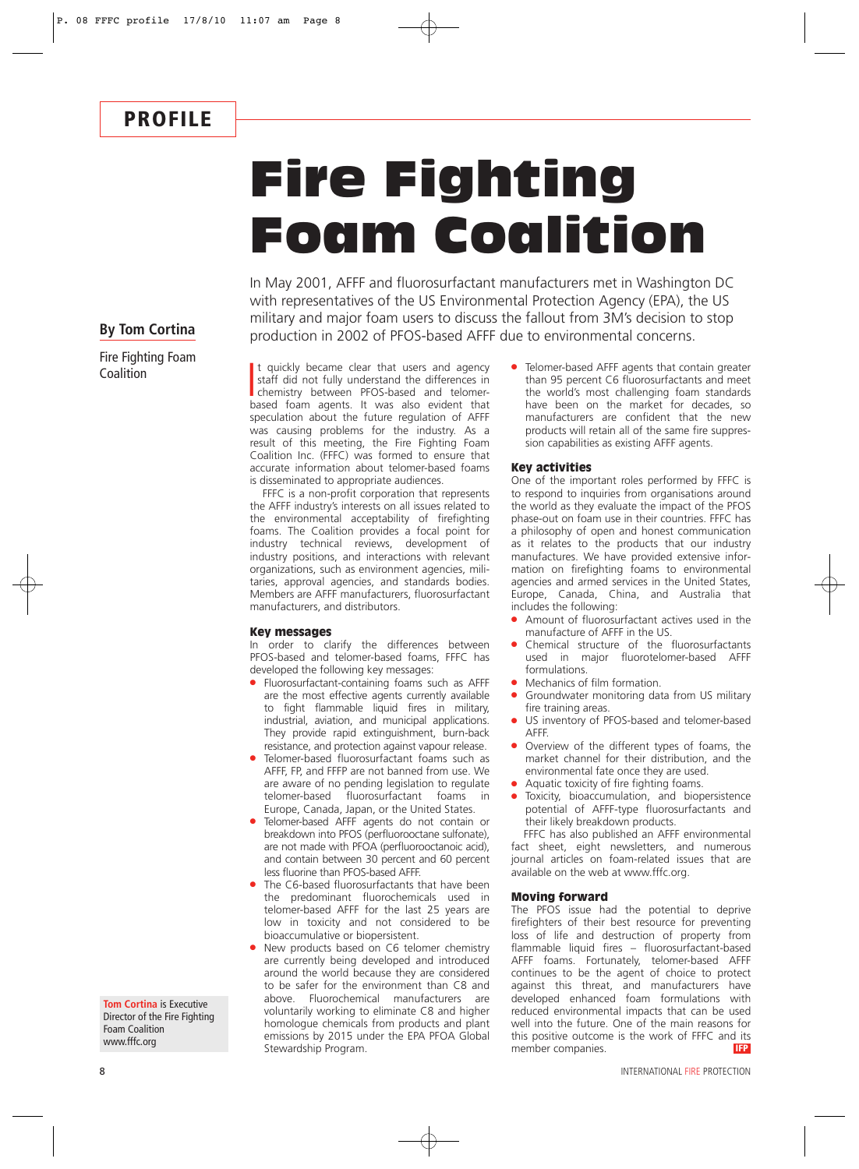## Fire Fighting Foam Coalition

In May 2001, AFFF and fluorosurfactant manufacturers met in Washington DC with representatives of the US Environmental Protection Agency (EPA), the US military and major foam users to discuss the fallout from 3M's decision to stop production in 2002 of PFOS-based AFFF due to environmental concerns.

### **By Tom Cortina**

Fire Fighting Foam **Coalition** 

It quickly became clear that users and agency<br>staff did not fully understand the differences in<br>chemistry between PFOS-based and telomer-<br>based foam agents. It was also evident that t quickly became clear that users and agency staff did not fully understand the differences in chemistry between PFOS-based and telomerspeculation about the future regulation of AFFF was causing problems for the industry. As a result of this meeting, the Fire Fighting Foam Coalition Inc. (FFFC) was formed to ensure that accurate information about telomer-based foams is disseminated to appropriate audiences.

FFFC is a non-profit corporation that represents the AFFF industry's interests on all issues related to the environmental acceptability of firefighting foams. The Coalition provides a focal point for industry technical reviews, development of industry positions, and interactions with relevant organizations, such as environment agencies, militaries, approval agencies, and standards bodies. Members are AFFF manufacturers, fluorosurfactant manufacturers, and distributors.

#### Key messages

In order to clarify the differences between PFOS-based and telomer-based foams, FFFC has developed the following key messages:

- Fluorosurfactant-containing foams such as AFFF are the most effective agents currently available to fight flammable liquid fires in military, industrial, aviation, and municipal applications. They provide rapid extinguishment, burn-back resistance, and protection against vapour release.
- Telomer-based fluorosurfactant foams such as AFFF, FP, and FFFP are not banned from use. We are aware of no pending legislation to regulate telomer-based fluorosurfactant foams in Europe, Canada, Japan, or the United States.
- Telomer-based AFFF agents do not contain or breakdown into PFOS (perfluorooctane sulfonate), are not made with PFOA (perfluorooctanoic acid), and contain between 30 percent and 60 percent less fluorine than PFOS-based AFFF.
- The C6-based fluorosurfactants that have been the predominant fluorochemicals used in telomer-based AFFF for the last 25 years are low in toxicity and not considered to be bioaccumulative or biopersistent.
- New products based on C6 telomer chemistry are currently being developed and introduced around the world because they are considered to be safer for the environment than C8 and above. Fluorochemical manufacturers are voluntarily working to eliminate C8 and higher homologue chemicals from products and plant emissions by 2015 under the EPA PFOA Global Stewardship Program.

● Telomer-based AFFF agents that contain greater than 95 percent C6 fluorosurfactants and meet the world's most challenging foam standards have been on the market for decades, so manufacturers are confident that the new products will retain all of the same fire suppression capabilities as existing AFFF agents.

#### Key activities

One of the important roles performed by FFFC is to respond to inquiries from organisations around the world as they evaluate the impact of the PFOS phase-out on foam use in their countries. FFFC has a philosophy of open and honest communication as it relates to the products that our industry manufactures. We have provided extensive information on firefighting foams to environmental agencies and armed services in the United States, Europe, Canada, China, and Australia that includes the following:

- Amount of fluorosurfactant actives used in the manufacture of AFFF in the US.
- Chemical structure of the fluorosurfactants used in major fluorotelomer-based AFFF formulations.
- Mechanics of film formation.
- Groundwater monitoring data from US military fire training areas.
- US inventory of PFOS-based and telomer-based AFFF.
- Overview of the different types of foams, the market channel for their distribution, and the environmental fate once they are used.
- Aquatic toxicity of fire fighting foams.
- Toxicity, bioaccumulation, and biopersistence potential of AFFF-type fluorosurfactants and their likely breakdown products.

FFFC has also published an AFFF environmental fact sheet, eight newsletters, and numerous journal articles on foam-related issues that are available on the web at www.fffc.org.

#### Moving forward

The PFOS issue had the potential to deprive firefighters of their best resource for preventing loss of life and destruction of property from flammable liquid fires – fluorosurfactant-based AFFF foams. Fortunately, telomer-based AFFF continues to be the agent of choice to protect against this threat, and manufacturers have developed enhanced foam formulations with reduced environmental impacts that can be used well into the future. One of the main reasons for this positive outcome is the work of FFFC and its<br>member companies member companies.